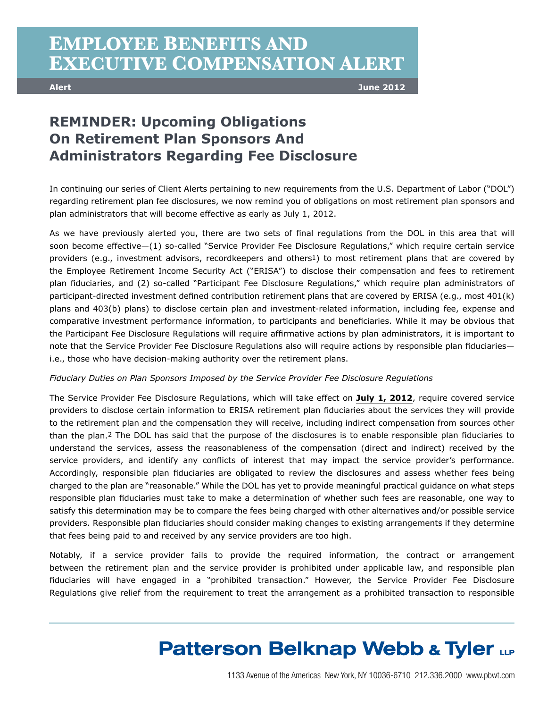### **EMPLOYEE BENEFITS AND EXECUTIVE COMPENSATION ALERT**

**Alert June 2012**

#### **REMINDER: Upcoming Obligations On Retirement Plan Sponsors And Administrators Regarding Fee Disclosure**

In continuing our series of Client Alerts pertaining to new requirements from the U.S. Department of Labor ("DOL") regarding retirement plan fee disclosures, we now remind you of obligations on most retirement plan sponsors and plan administrators that will become effective as early as July 1, 2012.

As we have previously alerted you, there are two sets of final regulations from the DOL in this area that will soon become effective—(1) so-called "Service Provider Fee Disclosure Regulations," which require certain service providers (e.g., investment advisors, recordkeepers and others1) to most retirement plans that are covered by the Employee Retirement Income Security Act ("ERISA") to disclose their compensation and fees to retirement plan fiduciaries, and (2) so-called "Participant Fee Disclosure Regulations," which require plan administrators of participant-directed investment defined contribution retirement plans that are covered by ERISA (e.g., most 401(k) plans and 403(b) plans) to disclose certain plan and investment-related information, including fee, expense and comparative investment performance information, to participants and beneficiaries. While it may be obvious that the Participant Fee Disclosure Regulations will require affirmative actions by plan administrators, it is important to note that the Service Provider Fee Disclosure Regulations also will require actions by responsible plan fiduciaries i.e., those who have decision-making authority over the retirement plans.

#### *Fiduciary Duties on Plan Sponsors Imposed by the Service Provider Fee Disclosure Regulations*

The Service Provider Fee Disclosure Regulations, which will take effect on **July 1, 2012**, require covered service providers to disclose certain information to ERISA retirement plan fiduciaries about the services they will provide to the retirement plan and the compensation they will receive, including indirect compensation from sources other than the plan.2 The DOL has said that the purpose of the disclosures is to enable responsible plan fiduciaries to understand the services, assess the reasonableness of the compensation (direct and indirect) received by the service providers, and identify any conflicts of interest that may impact the service provider's performance. Accordingly, responsible plan fiduciaries are obligated to review the disclosures and assess whether fees being charged to the plan are "reasonable." While the DOL has yet to provide meaningful practical guidance on what steps responsible plan fiduciaries must take to make a determination of whether such fees are reasonable, one way to satisfy this determination may be to compare the fees being charged with other alternatives and/or possible service providers. Responsible plan fiduciaries should consider making changes to existing arrangements if they determine that fees being paid to and received by any service providers are too high.

Notably, if a service provider fails to provide the required information, the contract or arrangement between the retirement plan and the service provider is prohibited under applicable law, and responsible plan fiduciaries will have engaged in a "prohibited transaction." However, the Service Provider Fee Disclosure Regulations give relief from the requirement to treat the arrangement as a prohibited transaction to responsible

# **Patterson Belknap Webb & Tyler LLP**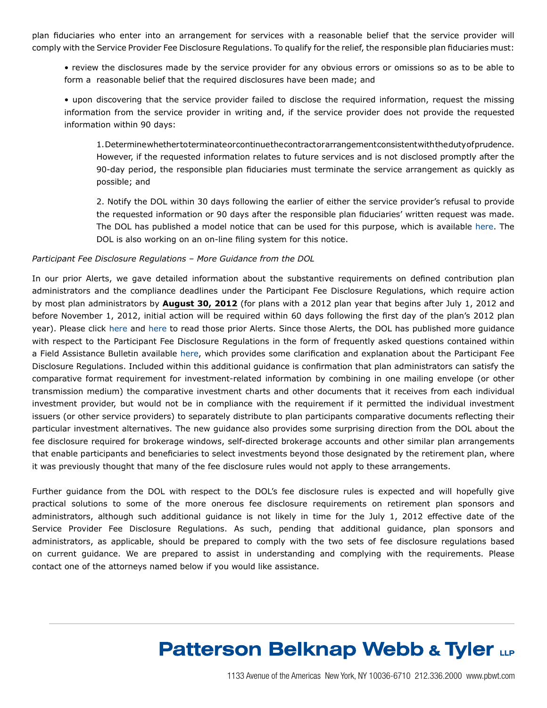plan fiduciaries who enter into an arrangement for services with a reasonable belief that the service provider will comply with the Service Provider Fee Disclosure Regulations. To qualify for the relief, the responsible plan fiduciaries must:

• review the disclosures made by the service provider for any obvious errors or omissions so as to be able to form a reasonable belief that the required disclosures have been made; and

• upon discovering that the service provider failed to disclose the required information, request the missing information from the service provider in writing and, if the service provider does not provide the requested information within 90 days:

 1. Determine whether to terminate or continue the contract or arrangement consistent with the duty of prudence. However, if the requested information relates to future services and is not disclosed promptly after the 90-day period, the responsible plan fiduciaries must terminate the service arrangement as quickly as possible; and

2. Notify the DOL within 30 days following the earlier of either the service provider's refusal to provide the requested information or 90 days after the responsible plan fiduciaries' written request was made. The DOL has published a model notice that can be used for this purpose, which is available here. The DOL is also working on an on-line filing system for this notice.

#### *Participant Fee Disclosure Regulations – More Guidance from the DOL*

In our prior Alerts, we gave detailed information about the substantive requirements on defined contribution plan administrators and the compliance deadlines under the Participant Fee Disclosure Regulations, which require action by most plan administrators by **August 30, 2012** (for plans with a 2012 plan year that begins after July 1, 2012 and before November 1, 2012, initial action will be required within 60 days following the first day of the plan's 2012 plan year). Please click here and here to read those prior Alerts. Since those Alerts, the DOL has published more guidance with respect to the Participant Fee Disclosure Regulations in the form of frequently asked questions contained within a Field Assistance Bulletin available here, which provides some clarification and explanation about the Participant Fee Disclosure Regulations. Included within this additional guidance is confirmation that plan administrators can satisfy the comparative format requirement for investment-related information by combining in one mailing envelope (or other transmission medium) the comparative investment charts and other documents that it receives from each individual investment provider, but would not be in compliance with the requirement if it permitted the individual investment issuers (or other service providers) to separately distribute to plan participants comparative documents reflecting their particular investment alternatives. The new guidance also provides some surprising direction from the DOL about the fee disclosure required for brokerage windows, self-directed brokerage accounts and other similar plan arrangements that enable participants and beneficiaries to select investments beyond those designated by the retirement plan, where it was previously thought that many of the fee disclosure rules would not apply to these arrangements.

Further guidance from the DOL with respect to the DOL's fee disclosure rules is expected and will hopefully give practical solutions to some of the more onerous fee disclosure requirements on retirement plan sponsors and administrators, although such additional guidance is not likely in time for the July 1, 2012 effective date of the Service Provider Fee Disclosure Regulations. As such, pending that additional guidance, plan sponsors and administrators, as applicable, should be prepared to comply with the two sets of fee disclosure regulations based on current guidance. We are prepared to assist in understanding and complying with the requirements. Please contact one of the attorneys named below if you would like assistance.

# **Patterson Belknap Webb & Tyler LLP**